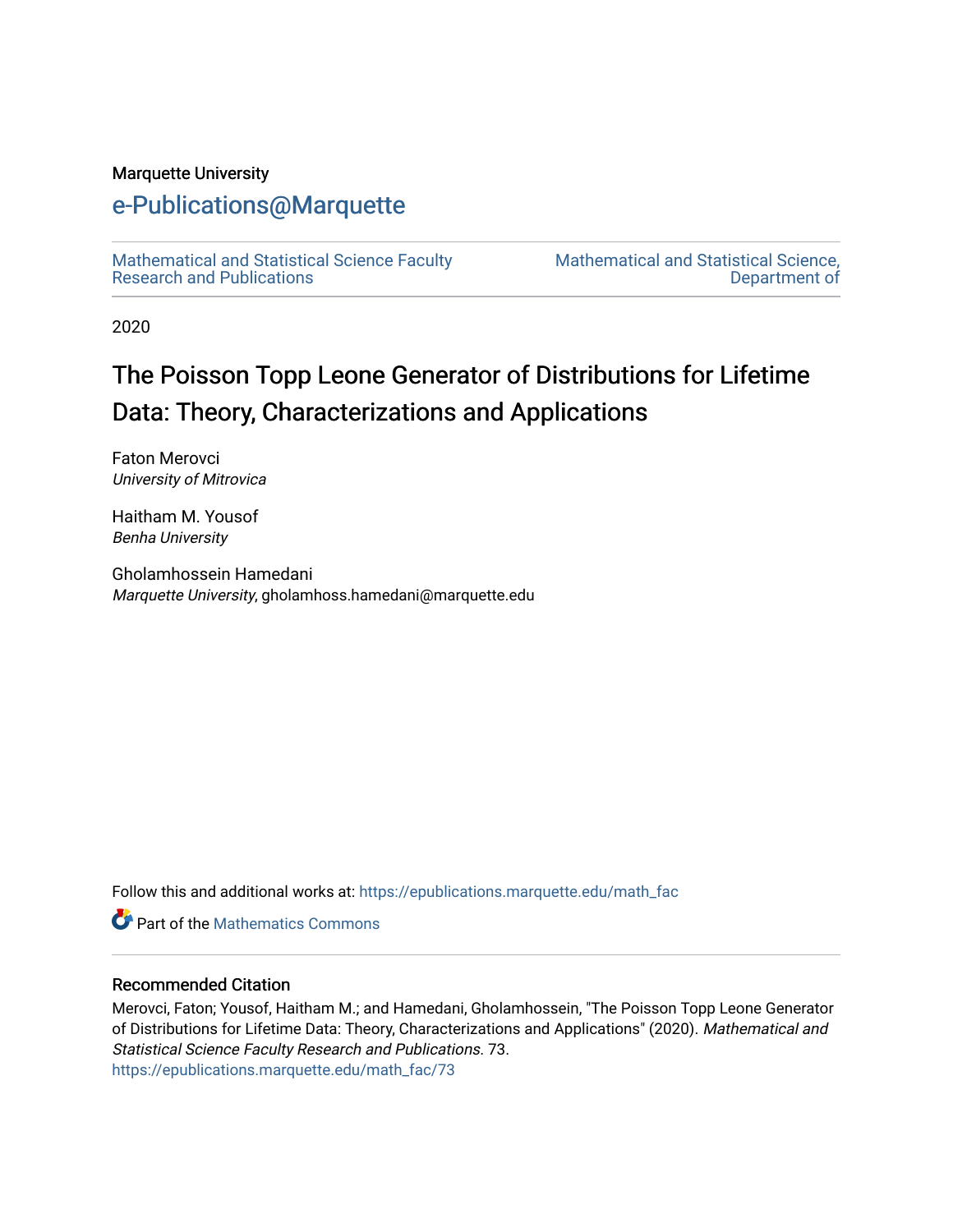# Marquette University

# [e-Publications@Marquette](https://epublications.marquette.edu/)

[Mathematical and Statistical Science Faculty](https://epublications.marquette.edu/math_fac)  [Research and Publications](https://epublications.marquette.edu/math_fac) 

[Mathematical and Statistical Science,](https://epublications.marquette.edu/math)  [Department of](https://epublications.marquette.edu/math) 

2020

# The Poisson Topp Leone Generator of Distributions for Lifetime Data: Theory, Characterizations and Applications

Faton Merovci University of Mitrovica

Haitham M. Yousof Benha University

Gholamhossein Hamedani Marquette University, gholamhoss.hamedani@marquette.edu

Follow this and additional works at: [https://epublications.marquette.edu/math\\_fac](https://epublications.marquette.edu/math_fac?utm_source=epublications.marquette.edu%2Fmath_fac%2F73&utm_medium=PDF&utm_campaign=PDFCoverPages)

**Part of the [Mathematics Commons](https://network.bepress.com/hgg/discipline/174?utm_source=epublications.marquette.edu%2Fmath_fac%2F73&utm_medium=PDF&utm_campaign=PDFCoverPages)** 

# Recommended Citation

Merovci, Faton; Yousof, Haitham M.; and Hamedani, Gholamhossein, "The Poisson Topp Leone Generator of Distributions for Lifetime Data: Theory, Characterizations and Applications" (2020). Mathematical and Statistical Science Faculty Research and Publications. 73. [https://epublications.marquette.edu/math\\_fac/73](https://epublications.marquette.edu/math_fac/73?utm_source=epublications.marquette.edu%2Fmath_fac%2F73&utm_medium=PDF&utm_campaign=PDFCoverPages)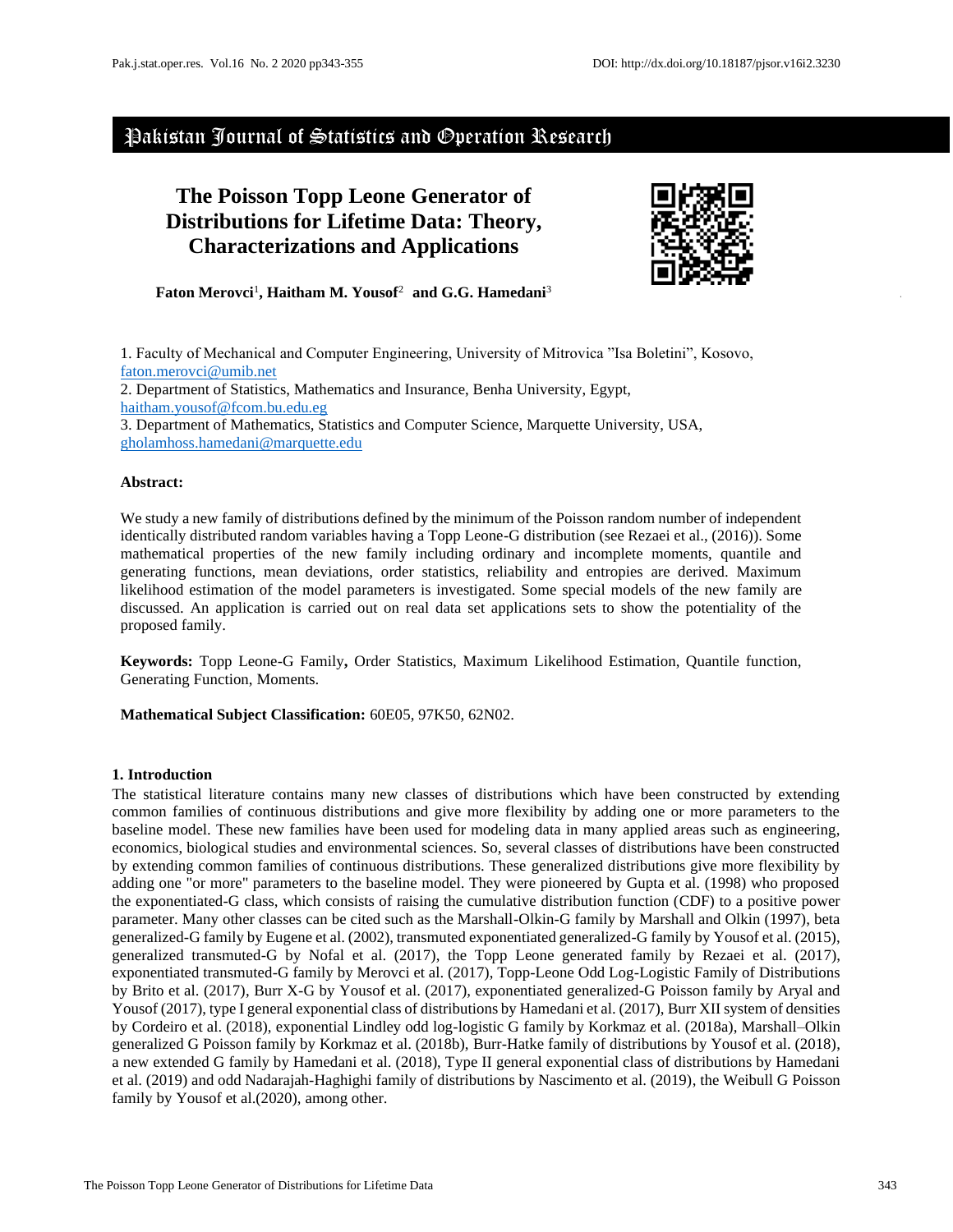# Pakistan Journal of Statistics and Operation Research

# **The Poisson Topp Leone Generator of Distributions for Lifetime Data: Theory, Characterizations and Applications**



**Faton Merovci**<sup>1</sup> **, Haitham M. Yousof**<sup>2</sup>**and G.G. Hamedani**<sup>3</sup>

1. Faculty of Mechanical and Computer Engineering, University of Mitrovica "Isa Boletini", Kosovo, [faton.merovci@umib.net](mailto:faton.merovci@umib.net) 2. Department of Statistics, Mathematics and Insurance, Benha University, Egypt, [haitham.yousof@fcom.bu.edu.eg](mailto:haitham.yousof@fcom.bu.edu.eg) 3. Department of Mathematics, Statistics and Computer Science, Marquette University, USA, [gholamhoss.hamedani@marquette.edu](mailto:gholamhoss.hamedani@marquette.edu)

# **Abstract:**

We study a new family of distributions defined by the minimum of the Poisson random number of independent identically distributed random variables having a Topp Leone-G distribution (see Rezaei et al., (2016)). Some mathematical properties of the new family including ordinary and incomplete moments, quantile and generating functions, mean deviations, order statistics, reliability and entropies are derived. Maximum likelihood estimation of the model parameters is investigated. Some special models of the new family are discussed. An application is carried out on real data set applications sets to show the potentiality of the proposed family.

**Keywords:** Topp Leone-G Family**,** Order Statistics, Maximum Likelihood Estimation, Quantile function, Generating Function, Moments.

**Mathematical Subject Classification:** 60E05, 97K50, 62N02.

# **1. Introduction**

The statistical literature contains many new classes of distributions which have been constructed by extending common families of continuous distributions and give more flexibility by adding one or more parameters to the baseline model. These new families have been used for modeling data in many applied areas such as engineering, economics, biological studies and environmental sciences. So, several classes of distributions have been constructed by extending common families of continuous distributions. These generalized distributions give more flexibility by adding one "or more" parameters to the baseline model. They were pioneered by Gupta et al. (1998) who proposed the exponentiated-G class, which consists of raising the cumulative distribution function (CDF) to a positive power parameter. Many other classes can be cited such as the Marshall-Olkin-G family by Marshall and Olkin (1997), beta generalized-G family by Eugene et al. (2002), transmuted exponentiated generalized-G family by Yousof et al. (2015), generalized transmuted-G by Nofal et al. (2017), the Topp Leone generated family by Rezaei et al. (2017), exponentiated transmuted-G family by Merovci et al. (2017), Topp-Leone Odd Log-Logistic Family of Distributions by Brito et al. (2017), Burr X-G by Yousof et al. (2017), exponentiated generalized-G Poisson family by Aryal and Yousof (2017), type I general exponential class of distributions by Hamedani et al. (2017), Burr XII system of densities by Cordeiro et al. (2018), exponential Lindley odd log-logistic G family by Korkmaz et al. (2018a), Marshall–Olkin generalized G Poisson family by Korkmaz et al. (2018b), Burr-Hatke family of distributions by Yousof et al. (2018), a new extended G family by Hamedani et al. (2018), Type II general exponential class of distributions by Hamedani et al. (2019) and odd Nadarajah-Haghighi family of distributions by Nascimento et al. (2019), the Weibull G Poisson family by Yousof et al.(2020), among other.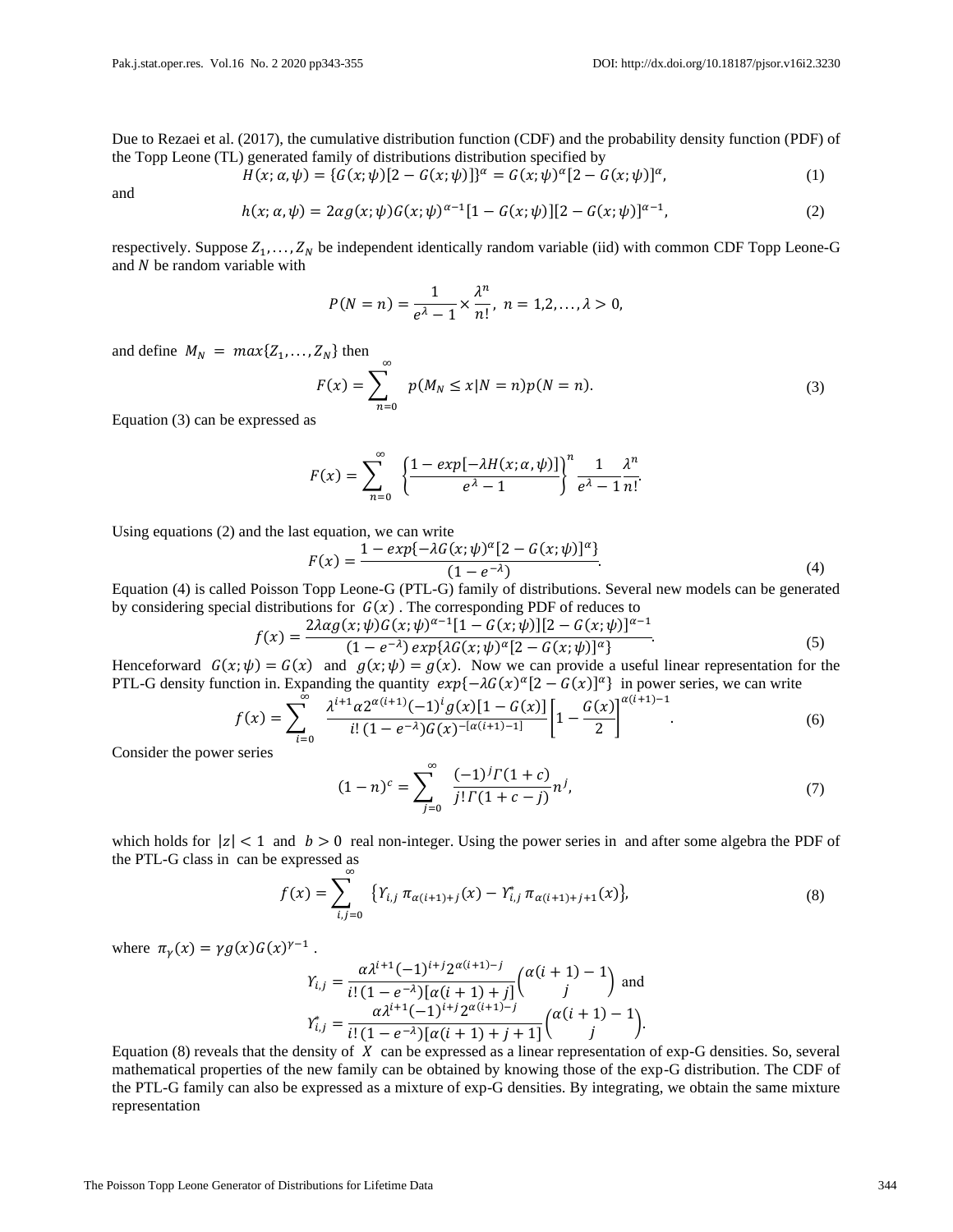Due to Rezaei et al. (2017), the cumulative distribution function (CDF) and the probability density function (PDF) of the Topp Leone (TL) generated family of distributions distribution specified by

$$
H(x; \alpha, \psi) = \{G(x; \psi)[2 - G(x; \psi)]\}^{\alpha} = G(x; \psi)^{\alpha} [2 - G(x; \psi)]^{\alpha}, \tag{1}
$$

and

$$
h(x; \alpha, \psi) = 2\alpha g(x; \psi) G(x; \psi)^{\alpha - 1} [1 - G(x; \psi)][2 - G(x; \psi)]^{\alpha - 1},
$$
\n(2)

respectively. Suppose  $Z_1, \ldots, Z_N$  be independent identically random variable (iid) with common CDF Topp Leone-G and  $N$  be random variable with

$$
P(N = n) = \frac{1}{e^{\lambda} - 1} \times \frac{\lambda^n}{n!}, \ n = 1, 2, ..., \lambda > 0,
$$

and define  $M_N = max{Z_1, ..., Z_N}$  then

$$
F(x) = \sum_{n=0}^{\infty} p(M_N \le x | N = n) p(N = n).
$$
 (3)

Equation (3) can be expressed as

$$
F(x) = \sum_{n=0}^{\infty} \left\{ \frac{1 - exp[-\lambda H(x; \alpha, \psi)]}{e^{\lambda} - 1} \right\}^{n} \frac{1}{e^{\lambda} - 1} \frac{\lambda^{n}}{n!}.
$$

Using equations (2) and the last equation, we can write

$$
F(x) = \frac{1 - exp\{-\lambda G(x; \psi)^{\alpha} [2 - G(x; \psi)]^{\alpha}\}}{(1 - e^{-\lambda})}.
$$
\n(4)

Equation (4) is called Poisson Topp Leone-G (PTL-G) family of distributions. Several new models can be generated by considering special distributions for  $G(x)$ . The corresponding PDF of reduces to

$$
f(x) = \frac{2\lambda\alpha g(x;\psi)G(x;\psi)^{\alpha-1}[1 - G(x;\psi)][2 - G(x;\psi)]^{\alpha-1}}{(1 - e^{-\lambda})\exp\{\lambda G(x;\psi)^{\alpha}[2 - G(x;\psi)]^{\alpha}\}}.
$$
\n
$$
= G(x) \text{ and } g(x;\psi) = g(x) \text{ Now we have a useful linear representation for the}
$$
\n
$$
f(x) = \frac{2\lambda\alpha g(x;\psi)G(x;\psi)^{\alpha-1}[1 - G(x;\psi)][2 - G(x;\psi)]^{\alpha-1}}{2\lambda\alpha g(x;\psi)}.
$$
\n(5)

Henceforward  $G(x; \psi) = G(x)$  and  $g(x; \psi) = g(x)$ . Now we can provide a useful linear representation for the PTL-G density function in. Expanding the quantity  $exp{-\lambda G(x)^{\alpha}[2 - G(x)]^{\alpha}}$  in power series, we can write ∞

$$
f(x) = \sum_{i=0}^{\infty} \frac{\lambda^{i+1} \alpha 2^{\alpha(i+1)} (-1)^i g(x) [1 - G(x)]}{i! (1 - e^{-\lambda}) G(x)^{-\lceil \alpha(i+1) - 1 \rceil}} \left[ 1 - \frac{G(x)}{2} \right]^{\alpha(i+1) - 1}.
$$
 (6)

Consider the power series

$$
(1-n)^{c} = \sum_{j=0}^{\infty} \frac{(-1)^{j} \Gamma(1+c)}{j! \Gamma(1+c-j)} n^{j}, \tag{7}
$$

which holds for  $|z| < 1$  and  $b > 0$  real non-integer. Using the power series in and after some algebra the PDF of the PTL-G class in can be expressed as

$$
f(x) = \sum_{i,j=0}^{\infty} \{ Y_{i,j} \pi_{\alpha(i+1)+j}(x) - Y_{i,j}^{*} \pi_{\alpha(i+1)+j+1}(x) \},
$$
\n(8)

where  $\pi_{\gamma}(x) = \gamma g(x) G(x)^{\gamma - 1}$ .

$$
\gamma_{i,j} = \frac{\alpha \lambda^{i+1} (-1)^{i+j} 2^{\alpha(i+1)-j}}{i! (1 - e^{-\lambda}) [\alpha(i+1) + j]} \binom{\alpha(i+1) - 1}{j} \text{ and}
$$

$$
\gamma_{i,j}^* = \frac{\alpha \lambda^{i+1} (-1)^{i+j} 2^{\alpha(i+1)-j}}{i! (1 - e^{-\lambda}) [\alpha(i+1) + j + 1]} \binom{\alpha(i+1) - 1}{j}.
$$

Equation (8) reveals that the density of  $X$  can be expressed as a linear representation of exp-G densities. So, several mathematical properties of the new family can be obtained by knowing those of the exp-G distribution. The CDF of the PTL-G family can also be expressed as a mixture of exp-G densities. By integrating, we obtain the same mixture representation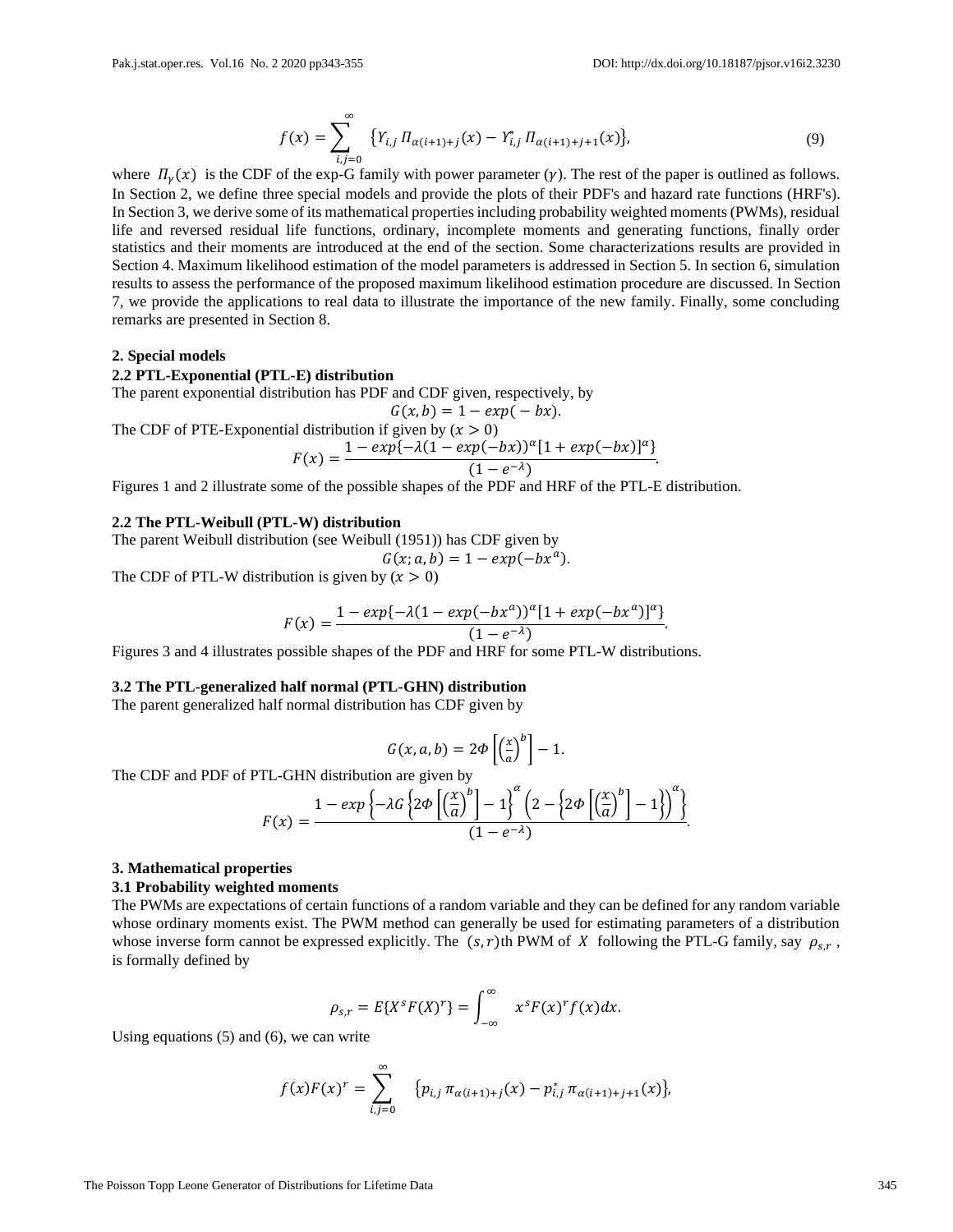.

$$
f(x) = \sum_{i,j=0}^{\infty} \{ Y_{i,j} \, \Pi_{\alpha(i+1)+j}(x) - Y_{i,j}^* \, \Pi_{\alpha(i+1)+j+1}(x) \},\tag{9}
$$

where  $\Pi_{\nu}(x)$  is the CDF of the exp-G family with power parameter ( $\gamma$ ). The rest of the paper is outlined as follows. In Section 2, we define three special models and provide the plots of their PDF's and hazard rate functions (HRF's). In Section 3, we derive some of its mathematical properties including probability weighted moments (PWMs), residual life and reversed residual life functions, ordinary, incomplete moments and generating functions, finally order statistics and their moments are introduced at the end of the section. Some characterizations results are provided in Section 4. Maximum likelihood estimation of the model parameters is addressed in Section 5. In section 6, simulation results to assess the performance of the proposed maximum likelihood estimation procedure are discussed. In Section 7, we provide the applications to real data to illustrate the importance of the new family. Finally, some concluding remarks are presented in Section 8.

#### **2. Special models**

### **2.2 PTL-Exponential (PTL-E) distribution**

The parent exponential distribution has PDF and CDF given, respectively, by

$$
G(x,b) = 1 - exp(-bx).
$$

The CDF of PTE-Exponential distribution if given by 
$$
(x > 0)
$$

$$
F(x) = \frac{1 - exp(-\lambda(1 - exp(-bx))^{\alpha}[1 + exp(-bx)]^{\alpha}]}{(1 - e^{-\lambda})}
$$

Figures 1 and 2 illustrate some of the possible shapes of the PDF and HRF of the PTL-E distribution.

### **2.2 The PTL-Weibull (PTL-W) distribution**

The parent Weibull distribution (see Weibull (1951)) has CDF given by  $G(x; a, b) = 1 - exp(-bx^{a}).$ 

The CDF of PTL-W distribution is given by  $(x > 0)$ 

$$
F(x) = \frac{1 - exp(-\lambda(1 - exp(-bx^{a}))^{\alpha}[1 + exp(-bx^{a})]^{\alpha}]}{(1 - e^{-\lambda})}.
$$

Figures 3 and 4 illustrates possible shapes of the PDF and HRF for some PTL-W distributions.

### **3.2 The PTL-generalized half normal (PTL-GHN) distribution**

The parent generalized half normal distribution has CDF given by

$$
G(x, a, b) = 2\Phi\left[\left(\frac{x}{a}\right)^b\right] - 1.
$$

The CDF and PDF of PTL-GHN distribution are given by

$$
F(x) = \frac{1 - exp\left\{-\lambda G \left\{2\Phi \left[\left(\frac{x}{a}\right)^b\right] - 1\right\}^{\alpha} \left(2 - \left\{2\Phi \left[\left(\frac{x}{a}\right)^b\right] - 1\right\}\right)^{\alpha}\right\}}{(1 - e^{-\lambda})}.
$$

#### **3. Mathematical properties**

#### **3.1 Probability weighted moments**

The PWMs are expectations of certain functions of a random variable and they can be defined for any random variable whose ordinary moments exist. The PWM method can generally be used for estimating parameters of a distribution whose inverse form cannot be expressed explicitly. The  $(s, r)$ th PWM of X following the PTL-G family, say  $\rho_{s,r}$ , is formally defined by

$$
\rho_{s,r}=E\{X^{s}F(X)^{r}\}=\int_{-\infty}^{\infty} x^{s}F(x)^{r}f(x)dx.
$$

Using equations (5) and (6), we can write

$$
f(x)F(x)^r = \sum_{i,j=0}^{\infty} \quad \{p_{i,j} \pi_{\alpha(i+1)+j}(x) - p_{i,j}^* \pi_{\alpha(i+1)+j+1}(x)\},\
$$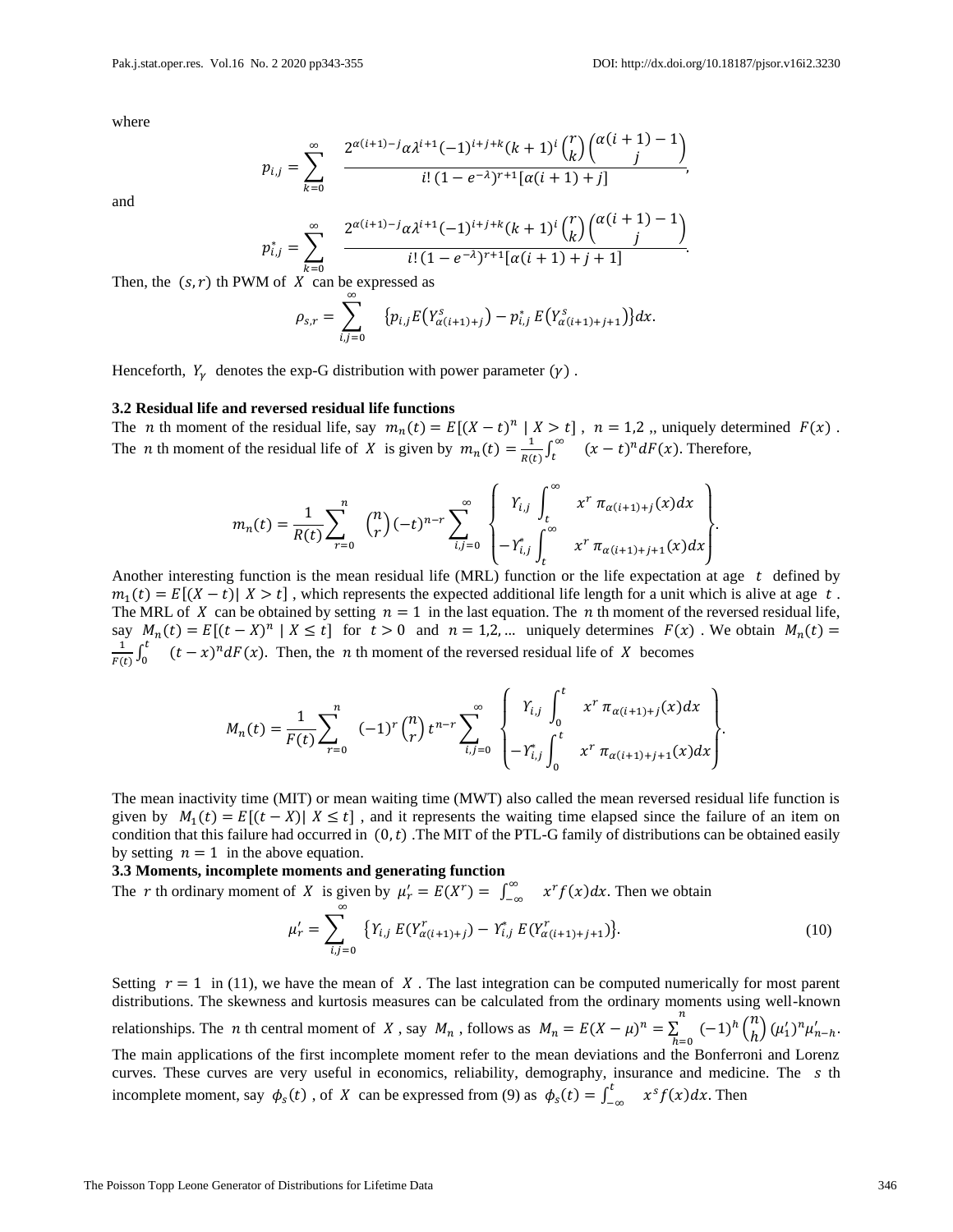.

where

$$
p_{i,j} = \sum_{k=0}^{\infty} \frac{2^{\alpha(i+1)-j}\alpha \lambda^{i+1}(-1)^{i+j+k}(k+1)^i {r \choose k} {\alpha(i+1)-1 \choose j}}{i! (1-e^{-\lambda})^{r+1} [\alpha(i+1)+j]},
$$

and

$$
p_{i,j}^* = \sum_{k=0}^{\infty} \frac{2^{\alpha(i+1)-j}\alpha \lambda^{i+1}(-1)^{i+j+k}(k+1)^i {r \choose k} {\alpha(i+1)-1 \choose j}}{i! (1-e^{-\lambda})^{r+1} [\alpha(i+1)+j+1]}.
$$

Then, the  $(s, r)$  th PWM of  $X$  can be expressed as

$$
\rho_{s,r} = \sum_{i,j=0}^{\infty} \left\{ p_{i,j} E(Y_{\alpha(i+1)+j}^{s}) - p_{i,j}^{*} E(Y_{\alpha(i+1)+j+1}^{s}) \right\} dx.
$$

Henceforth,  $Y_{\gamma}$  denotes the exp-G distribution with power parameter ( $\gamma$ ).

#### **3.2 Residual life and reversed residual life functions**

The *n* th moment of the residual life, say  $m_n(t) = E[(X - t)^n | X > t]$ ,  $n = 1,2$ , uniquely determined  $F(x)$ . The *n* th moment of the residual life of *X* is given by  $m_n(t) = \frac{1}{R(t)}$  $\frac{1}{R(t)} \int_t^\infty$  $\int_t^{\infty}$   $(x - t)^n dF(x)$ . Therefore,

$$
m_n(t) = \frac{1}{R(t)} \sum_{r=0}^n \binom{n}{r} (-t)^{n-r} \sum_{i,j=0}^\infty \begin{Bmatrix} Y_{i,j} \int_t^\infty x^r \pi_{\alpha(i+1)+j}(x) dx \\ -Y_{i,j}^* \int_t^\infty x^r \pi_{\alpha(i+1)+j+1}(x) dx \end{Bmatrix}
$$

Another interesting function is the mean residual life (MRL) function or the life expectation at age  $t$  defined by  $m_1(t) = E[(X - t) | X > t]$ , which represents the expected additional life length for a unit which is alive at age t. The MRL of X can be obtained by setting  $n = 1$  in the last equation. The n th moment of the reversed residual life, say  $M_n(t) = E[(t - X)^n | X \le t]$  for  $t > 0$  and  $n = 1,2,...$  uniquely determines  $F(x)$ . We obtain  $M_n(t) =$ 1  $\frac{1}{F(t)}\int_0^t$  $\int_0^t$   $(t-x)^n dF(x)$ . Then, the *n* th moment of the reversed residual life of *X* becomes

$$
M_n(t) = \frac{1}{F(t)} \sum_{r=0}^n (-1)^r \binom{n}{r} t^{n-r} \sum_{i,j=0}^\infty \begin{Bmatrix} Y_{i,j} \int_0^t x^r \pi_{\alpha(i+1)+j}(x) dx \\ -Y_{i,j}^* \int_0^t x^r \pi_{\alpha(i+1)+j+1}(x) dx \end{Bmatrix}.
$$

The mean inactivity time (MIT) or mean waiting time (MWT) also called the mean reversed residual life function is given by  $M_1(t) = E[(t - X) | X \le t]$ , and it represents the waiting time elapsed since the failure of an item on condition that this failure had occurred in  $(0,t)$ . The MIT of the PTL-G family of distributions can be obtained easily by setting  $n = 1$  in the above equation.

**3.3 Moments, incomplete moments and generating function**

The r th ordinary moment of X is given by  $\mu'_r = E(X^r) = \int_{-\infty}^{\infty}$  $\int_{-\infty}^{\infty} x^r f(x) dx$ . Then we obtain  $\mu'_r = \sum$  $i,j=0$ ∞  ${Y_{i,j} E(Y_{\alpha(i+1)+j}^r) - Y_{i,j}^* E(Y_{\alpha(i+1)+j+1}^r)}$  $(10)$ 

Setting  $r = 1$  in (11), we have the mean of X. The last integration can be computed numerically for most parent distributions. The skewness and kurtosis measures can be calculated from the ordinary moments using well-known relationships. The *n* th central moment of *X*, say  $M_n$ , follows as  $M_n = E(X - \mu)^n = \sum_{n=1}^{\infty}$  $\sum_{h=0}^{n}$   $(-1)^{h} {n \choose h}$  $\binom{n}{h} (\mu'_1)^n \mu'_{n-h}.$ The main applications of the first incomplete moment refer to the mean deviations and the Bonferroni and Lorenz curves. These curves are very useful in economics, reliability, demography, insurance and medicine. The s th incomplete moment, say  $\phi_s(t)$ , of X can be expressed from (9) as  $\phi_s(t) = \int_{-1}^{t}$  $\int_{-\infty}^{t} x^{s} f(x) dx$ . Then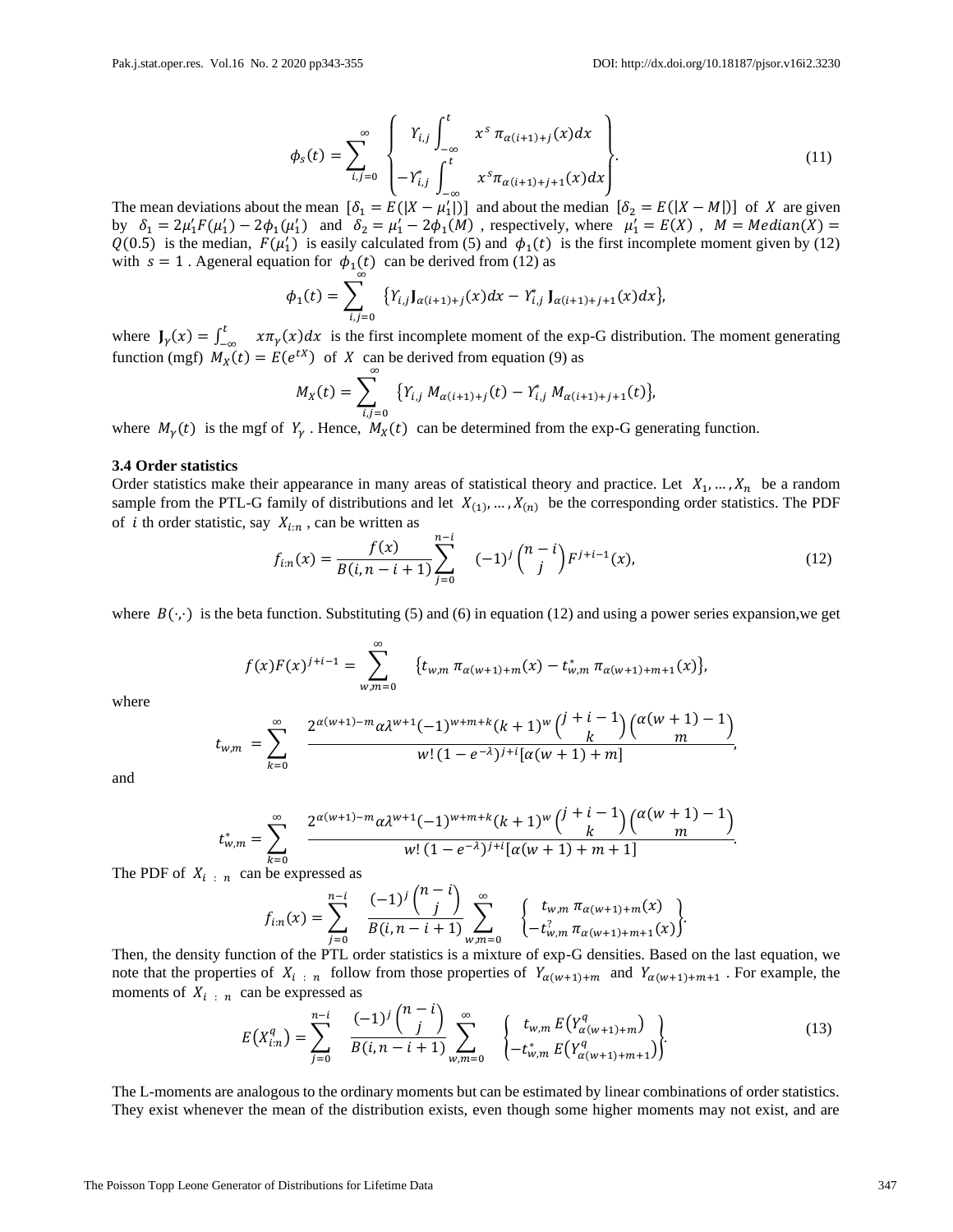$$
\phi_s(t) = \sum_{i,j=0}^{\infty} \begin{Bmatrix} Y_{i,j} \int_{-\infty}^{t} x^s \pi_{\alpha(i+1)+j}(x) dx \\ -Y_{i,j}^* \int_{-\infty}^{t} x^s \pi_{\alpha(i+1)+j+1}(x) dx \end{Bmatrix} . \tag{11}
$$

The mean deviations about the mean  $[\delta_1 = E(|X - \mu'_1|)]$  and about the median  $[\delta_2 = E(|X - M|)]$  of X are given by  $\delta_1 = 2\mu'_1 F(\mu'_1) - 2\phi_1(\mu'_1)$  and  $\delta_2 = \mu'_1 - 2\phi_1(M)$ , respectively, where  $\mu'_1 = E(X)$ ,  $M = Median(X) =$  $Q(0.5)$  is the median,  $F(\mu'_1)$  is easily calculated from (5) and  $\phi_1(t)$  is the first incomplete moment given by (12) with  $s = 1$ . Ageneral equation for  $\phi_1(t)$  can be derived from (12) as

$$
\phi_1(t) = \sum_{i,j=0} \ \{ Y_{i,j} J_{\alpha(i+1)+j}(x) dx - Y_{i,j}^* J_{\alpha(i+1)+j+1}(x) dx \},
$$

where  $J_{\gamma}(x) = \int_{-}^{t}$  $\int_{-\infty}^{\infty} x \pi_{\gamma}(x) dx$  is the first incomplete moment of the exp-G distribution. The moment generating function (mgf)  $M_X(t) = E(e^{tX})$  of X can be derived from equation (9) as

$$
M_X(t) = \sum_{i,j=0}^{N} \{ Y_{i,j} M_{\alpha(i+1)+j}(t) - Y_{i,j}^* M_{\alpha(i+1)+j+1}(t) \},
$$

where  $M_{\gamma}(t)$  is the mgf of  $Y_{\gamma}$ . Hence,  $M_{X}(t)$  can be determined from the exp-G generating function.

#### **3.4 Order statistics**

Order statistics make their appearance in many areas of statistical theory and practice. Let  $X_1, \ldots, X_n$  be a random sample from the PTL-G family of distributions and let  $X_{(1)}, \ldots, X_{(n)}$  be the corresponding order statistics. The PDF of *i* th order statistic, say  $X_{i:n}$ , can be written as

$$
f_{i:n}(x) = \frac{f(x)}{B(i, n-i+1)} \sum_{j=0}^{n-i} \quad (-1)^j \binom{n-i}{j} F^{j+i-1}(x), \tag{12}
$$

where  $B(\cdot, \cdot)$  is the beta function. Substituting (5) and (6) in equation (12) and using a power series expansion, we get

$$
f(x)F(x)^{j+i-1} = \sum_{w,m=0}^{\infty} \{t_{w,m} \pi_{\alpha(w+1)+m}(x) - t_{w,m}^* \pi_{\alpha(w+1)+m+1}(x)\},
$$

where

$$
t_{w,m} = \sum_{k=0}^{\infty} \frac{2^{\alpha(w+1)-m}\alpha \lambda^{w+1}(-1)^{w+m+k}(k+1)^w {j+i-1 \choose k} {\alpha(w+1)-1 \choose m}}{w!(1-e^{-\lambda})^{j+i}[\alpha(w+1)+m]},
$$

and

$$
t_{w,m}^* = \sum_{k=0}^{\infty} \frac{2^{\alpha(w+1)-m}\alpha \lambda^{w+1}(-1)^{w+m+k}(k+1)^w\binom{j+i-1}{k}\binom{\alpha(w+1)-1}{m}}{w!(1-e^{-\lambda})^{j+i}[\alpha(w+1)+m+1]}.
$$

The PDF of  $X_{i}$ : n can be expressed as

$$
f_{i:n}(x) = \sum_{j=0}^{n-i} \frac{(-1)^j {n-i \choose j}}{B(i, n-i+1)} \sum_{w,m=0}^{\infty} \left\{ t_{w,m} \pi_{\alpha(w+1)+m}(x) \atop -t_{w,m}^2 \pi_{\alpha(w+1)+m+1}(x) \right\}
$$

−

Then, the density function of the PTL order statistics is a mixture of exp-G densities. Based on the last equation, we note that the properties of  $X_{i,n}$  follow from those properties of  $Y_{\alpha(w+1)+m}$  and  $Y_{\alpha(w+1)+m+1}$ . For example, the moments of  $X_{i}$ :  $n$  can be expressed as  $\sqrt{2}$   $\sqrt{2}$ 

$$
E(X_{i:n}^q) = \sum_{j=0}^{n-i} \frac{(-1)^j {n-l \choose j}}{B(i, n-i+1)} \sum_{w,m=0}^{\infty} \left\{ t_{w,m} E(Y_{\alpha(w+1)+m}^q) \atop -t_{w,m}^* E(Y_{\alpha(w+1)+m+1}^q) \right\}.
$$
 (13)

The L-moments are analogous to the ordinary moments but can be estimated by linear combinations of order statistics. They exist whenever the mean of the distribution exists, even though some higher moments may not exist, and are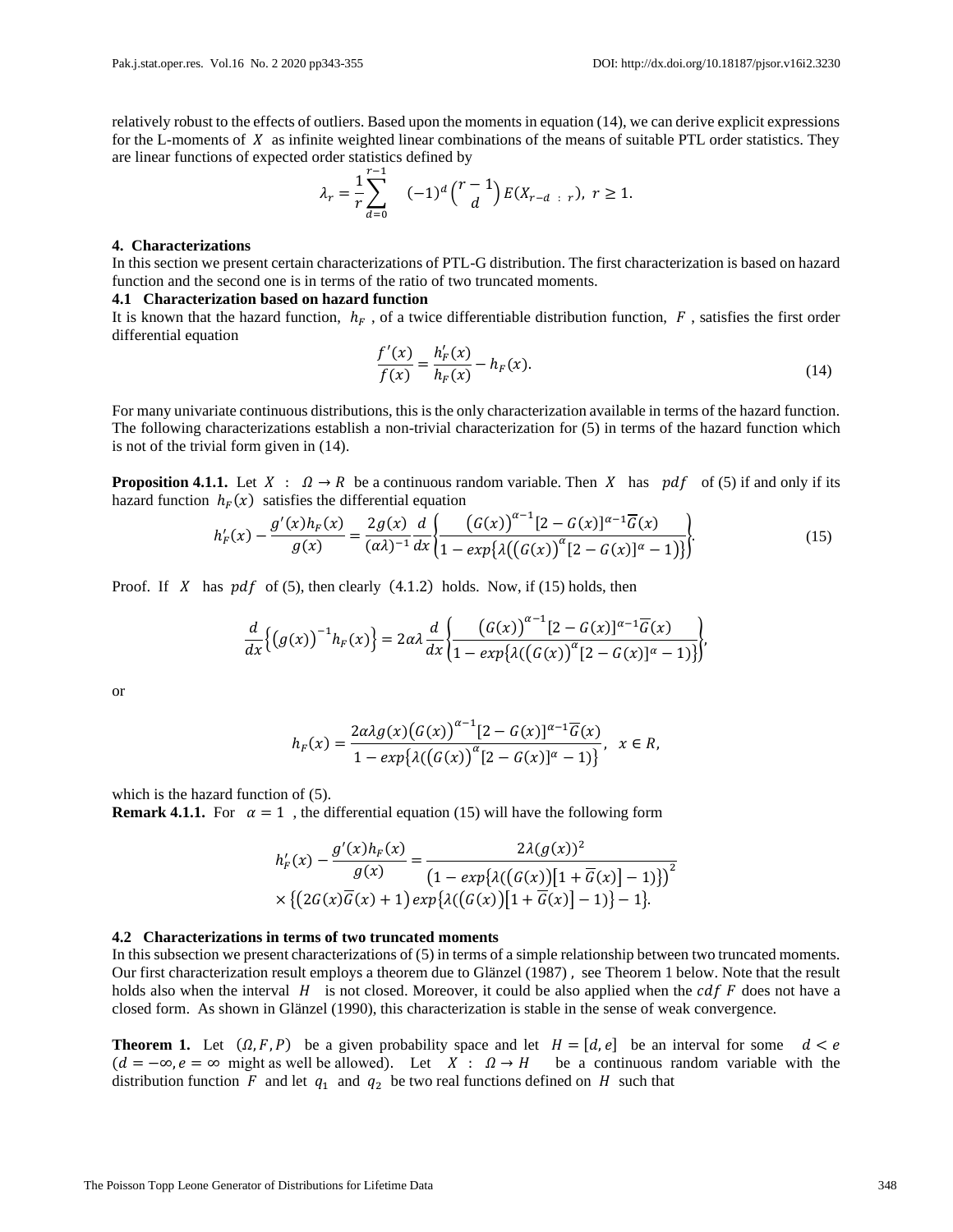relatively robust to the effects of outliers. Based upon the moments in equation (14), we can derive explicit expressions for the L-moments of  $X$  as infinite weighted linear combinations of the means of suitable PTL order statistics. They are linear functions of expected order statistics defined by

$$
\lambda_r = \frac{1}{r} \sum_{d=0}^{r-1} \quad (-1)^d \binom{r-1}{d} E(X_{r-d-r}), \ r \ge 1.
$$

#### **4. Characterizations**

In this section we present certain characterizations of PTL-G distribution. The first characterization is based on hazard function and the second one is in terms of the ratio of two truncated moments.

#### **4.1 Characterization based on hazard function**

It is known that the hazard function,  $h_F$ , of a twice differentiable distribution function,  $F$ , satisfies the first order differential equation

$$
\frac{f'(x)}{f(x)} = \frac{h'_F(x)}{h_F(x)} - h_F(x).
$$
\n(14)

For many univariate continuous distributions, this is the only characterization available in terms of the hazard function. The following characterizations establish a non-trivial characterization for (5) in terms of the hazard function which is not of the trivial form given in (14).

**Proposition 4.1.1.** Let  $X : \Omega \to R$  be a continuous random variable. Then X has  $pdf$  of (5) if and only if its hazard function  $h_F(x)$  satisfies the differential equation  $\sim$ −1

$$
h'_{F}(x) - \frac{g'(x)h_{F}(x)}{g(x)} = \frac{2g(x)}{(\alpha \lambda)^{-1}} \frac{d}{dx} \left\{ \frac{\left(G(x)\right)^{\alpha-1} [2 - G(x)]^{\alpha-1} \overline{G}(x)}{1 - \exp\left{\lambda \left(\left(G(x)\right)^{\alpha} [2 - G(x)]^{\alpha} - 1\right)\right\}} \right\}.
$$
(15)

Proof. If X has  $pdf$  of (5), then clearly (4.1.2) holds. Now, if (15) holds, then

$$
\frac{d}{dx}\Big\{\big(g(x)\big)^{-1}h_F(x)\Big\} = 2\alpha\lambda \frac{d}{dx}\Big\{\frac{\big(G(x)\big)^{\alpha-1}[2-G(x)]^{\alpha-1}\overline{G}(x)}{1-\exp\big[\lambda(\big(G(x)\big)^{\alpha}[2-G(x)]^{\alpha}-1)\big]\Big\}},
$$

or

$$
h_F(x) = \frac{2\alpha\lambda g(x) (G(x))^{a-1} [2 - G(x)]^{a-1} \overline{G}(x)}{1 - exp{\lambda((G(x))^{a} [2 - G(x)]^{a} - 1)}} , \quad x \in R,
$$

which is the hazard function of  $(5)$ .

**Remark 4.1.1.** For  $\alpha = 1$ , the differential equation (15) will have the following form

$$
h'_F(x) - \frac{g'(x)h_F(x)}{g(x)} = \frac{2\lambda(g(x))^2}{\left(1 - \exp\{\lambda((G(x))[1 + \overline{G}(x)] - 1)\}\right)^2}
$$

$$
\times \left\{ \left(2G(x)\overline{G}(x) + 1\right) \exp\{\lambda((G(x))[1 + \overline{G}(x)] - 1)\} - 1\right\}.
$$

#### **4.2 Characterizations in terms of two truncated moments**

In this subsection we present characterizations of (5) in terms of a simple relationship between two truncated moments. Our first characterization result employs a theorem due to Glänzel (1987) , see Theorem 1 below. Note that the result holds also when the interval  $H$  is not closed. Moreover, it could be also applied when the  $cdf \, F$  does not have a closed form. As shown in Glänzel (1990), this characterization is stable in the sense of weak convergence.

**Theorem 1.** Let  $(\Omega, F, P)$  be a given probability space and let  $H = [d, e]$  be an interval for some  $d < e$  $(d = -\infty, e = \infty$  might as well be allowed). Let  $X : \Omega \to H$  be a continuous random variable with the distribution function F and let  $q_1$  and  $q_2$  be two real functions defined on H such that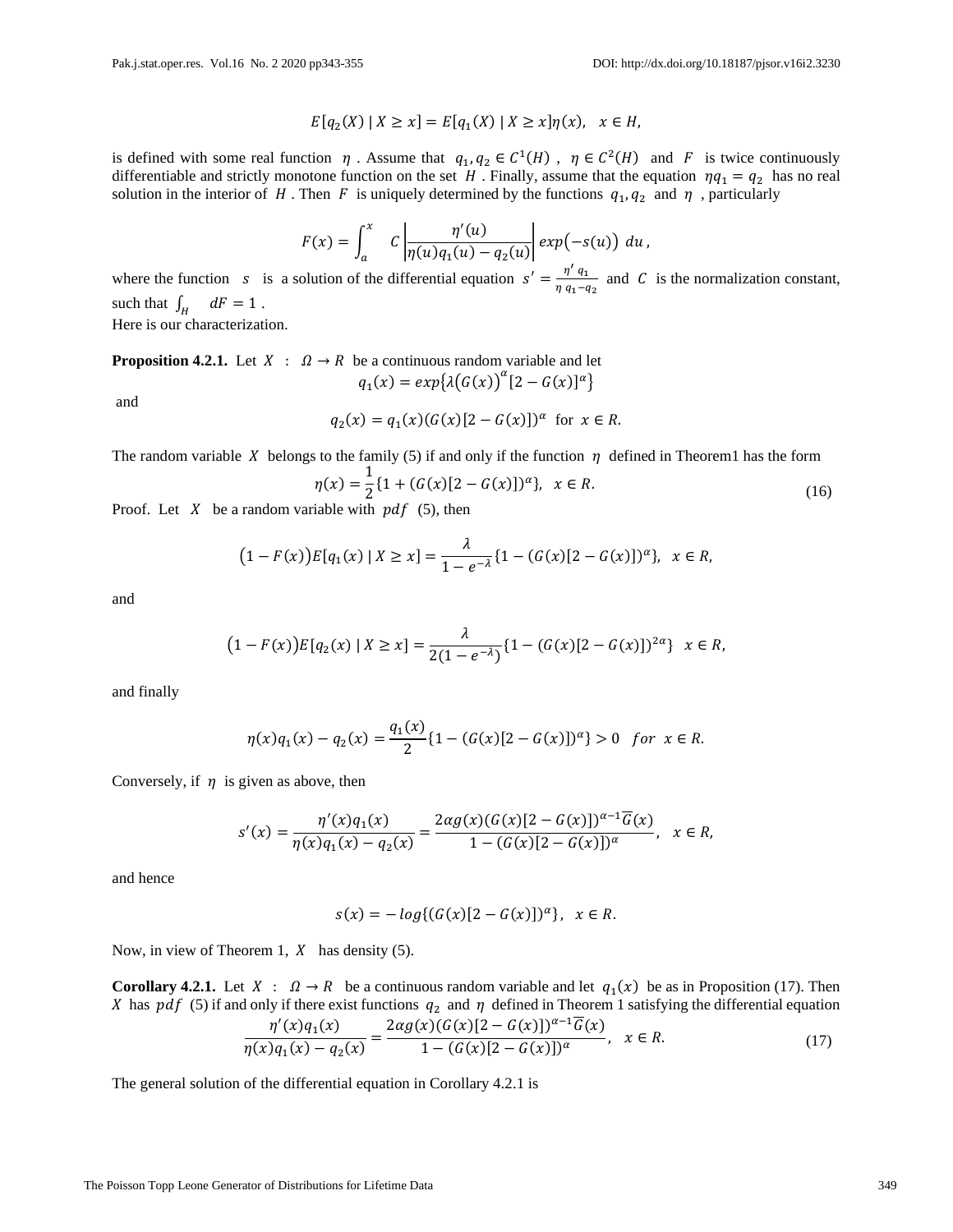$$
E[q_2(X) | X \ge x] = E[q_1(X) | X \ge x] \eta(x), \quad x \in H,
$$

is defined with some real function  $\eta$ . Assume that  $q_1, q_2 \in C^1(H)$ ,  $\eta \in C^2(H)$  and F is twice continuously differentiable and strictly monotone function on the set H. Finally, assume that the equation  $\eta q_1 = q_2$  has no real solution in the interior of H. Then F is uniquely determined by the functions  $q_1, q_2$  and  $\eta$ , particularly

$$
F(x) = \int_a^x C \left| \frac{\eta'(u)}{\eta(u)q_1(u) - q_2(u)} \right| exp(-s(u)) du,
$$

where the function *s* is a solution of the differential equation  $s' = \frac{\eta' q_1}{\eta}$  $\frac{\eta}{\eta} \frac{q_1}{q_1 - q_2}$  and C is the normalization constant, such that  $\int_H dF = 1$ . Here is our characterization.

**Proposition 4.2.1.** Let  $X : \Omega \to R$  be a continuous random variable and let  $q_1(x) = exp{\lambda(G(x))}^{\alpha} [2 - G(x)]^{\alpha}$ 

and

$$
q_2(x) = q_1(x)(G(x)[2 - G(x)])^{\alpha} \text{ for } x \in R.
$$

The random variable X belongs to the family (5) if and only if the function  $\eta$  defined in Theorem1 has the form

$$
\eta(x) = \frac{1}{2} \{ 1 + (G(x)[2 - G(x)])^{\alpha} \}, \quad x \in R.
$$
\n(16)

Proof. Let  $X$  be a random variable with  $pdf(5)$ , then

$$
(1 - F(x))E[q_1(x) | X \ge x] = \frac{\lambda}{1 - e^{-\lambda}} \{1 - (G(x)[2 - G(x)])^{\alpha}\}, \quad x \in R,
$$

and

$$
(1 - F(x))E[q_2(x) | X \ge x] = \frac{\lambda}{2(1 - e^{-\lambda})} \{1 - (G(x)[2 - G(x)])^{2\alpha}\} \quad x \in R,
$$

and finally

$$
\eta(x)q_1(x) - q_2(x) = \frac{q_1(x)}{2} \{1 - (G(x)[2 - G(x)])^{\alpha}\} > 0 \text{ for } x \in R.
$$

Conversely, if  $\eta$  is given as above, then

$$
s'(x) = \frac{\eta'(x)q_1(x)}{\eta(x)q_1(x) - q_2(x)} = \frac{2\alpha g(x)(G(x)[2 - G(x)])^{\alpha - 1}\overline{G}(x)}{1 - (G(x)[2 - G(x)])^{\alpha}}, \quad x \in R,
$$

and hence

$$
s(x) = -\log\{(G(x)[2 - G(x)])^{\alpha}\}, \ \ x \in R.
$$

Now, in view of Theorem 1,  $X$  has density (5).

**Corollary 4.2.1.** Let  $X : \Omega \to R$  be a continuous random variable and let  $q_1(x)$  be as in Proposition (17). Then X has  $pdf(5)$  if and only if there exist functions  $q_2$  and  $\eta$  defined in Theorem 1 satisfying the differential equation

$$
\frac{\eta'(x)q_1(x)}{\eta(x)q_1(x) - q_2(x)} = \frac{2\alpha g(x)(G(x)[2 - G(x)])^{\alpha - 1}\overline{G}(x)}{1 - (G(x)[2 - G(x)])^{\alpha}}, \quad x \in R.
$$
\n(17)

The general solution of the differential equation in Corollary 4.2.1 is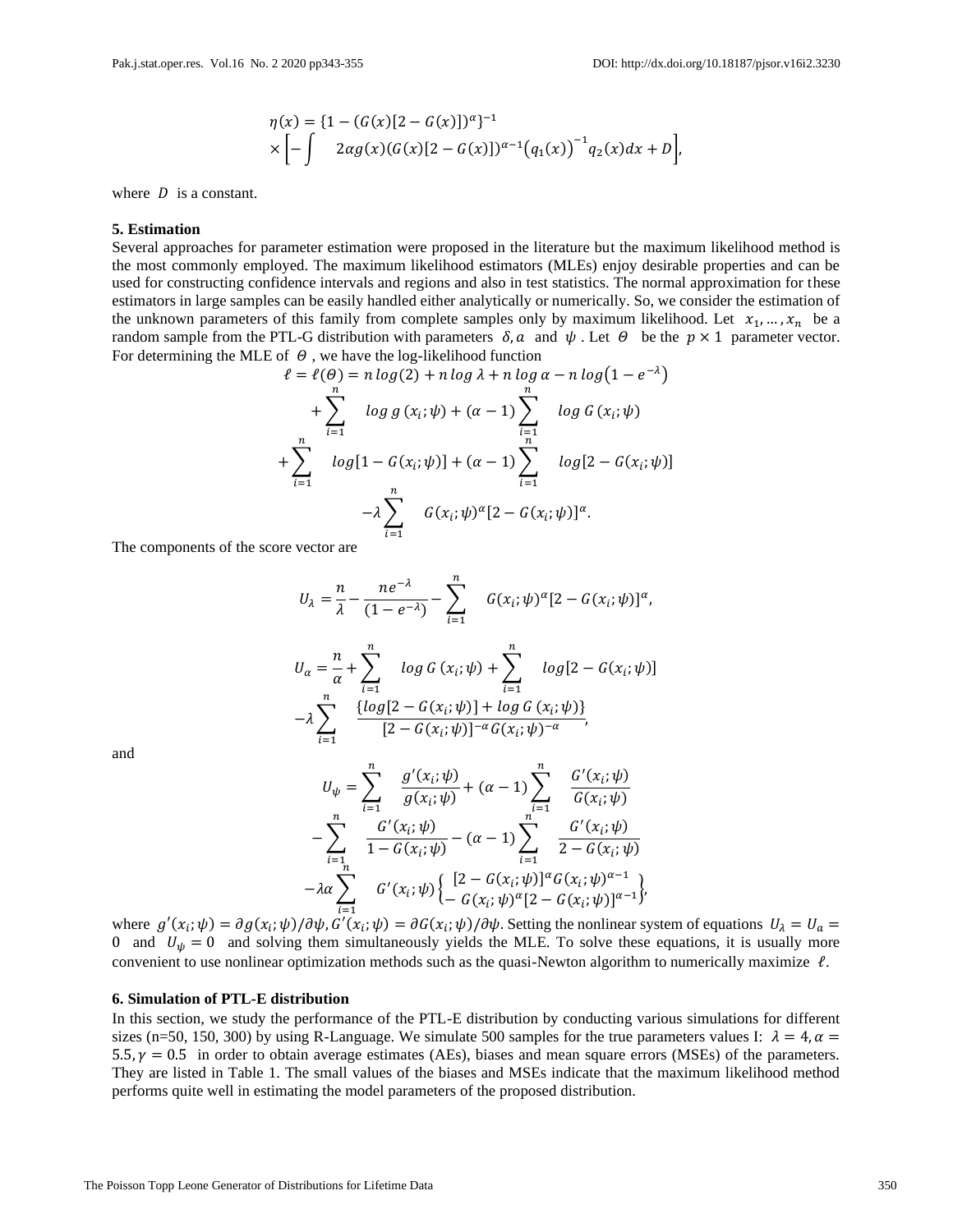$$
\eta(x) = \{1 - (G(x)[2 - G(x)])^{\alpha}\}^{-1}
$$
  
 
$$
\times \left[ -\int 2\alpha g(x)(G(x)[2 - G(x)])^{\alpha - 1}(q_1(x))^{-1}q_2(x)dx + D \right],
$$

where  $D$  is a constant.

#### **5. Estimation**

Several approaches for parameter estimation were proposed in the literature but the maximum likelihood method is the most commonly employed. The maximum likelihood estimators (MLEs) enjoy desirable properties and can be used for constructing confidence intervals and regions and also in test statistics. The normal approximation for these estimators in large samples can be easily handled either analytically or numerically. So, we consider the estimation of the unknown parameters of this family from complete samples only by maximum likelihood. Let  $x_1, ..., x_n$  be a random sample from the PTL-G distribution with parameters  $\delta$ ,  $\alpha$  and  $\psi$ . Let  $\theta$  be the  $p \times 1$  parameter vector. For determining the MLE of  $\theta$ , we have the log-likelihood function

$$
\ell = \ell(\theta) = n \log(2) + n \log \lambda + n \log \alpha - n \log(1 - e^{-\lambda})
$$
  
+ 
$$
\sum_{i=1}^{n} \log g(x_i; \psi) + (\alpha - 1) \sum_{i=1}^{n} \log G(x_i; \psi)
$$
  
+ 
$$
\sum_{i=1}^{n} \log[1 - G(x_i; \psi)] + (\alpha - 1) \sum_{i=1}^{n} \log[2 - G(x_i; \psi)]
$$
  
- 
$$
\lambda \sum_{i=1}^{n} G(x_i; \psi)^{\alpha} [2 - G(x_i; \psi)]^{\alpha}.
$$

The components of the score vector are

$$
U_{\lambda} = \frac{n}{\lambda} - \frac{ne^{-\lambda}}{(1 - e^{-\lambda})} - \sum_{i=1}^{n} G(x_{i}; \psi)^{\alpha} [2 - G(x_{i}; \psi)]^{\alpha},
$$
  

$$
U_{\alpha} = \frac{n}{\alpha} + \sum_{i=1}^{n} log G(x_{i}; \psi) + \sum_{i=1}^{n} log [2 - G(x_{i}; \psi)]
$$
  

$$
- \lambda \sum_{i=1}^{n} \frac{\{log[2 - G(x_{i}; \psi)] + log G(x_{i}; \psi)\}}{[2 - G(x_{i}; \psi)]^{-\alpha} G(x_{i}; \psi)^{-\alpha}},
$$

and

$$
U_{\psi} = \sum_{i=1}^{n} \frac{g'(x_i; \psi)}{g(x_i; \psi)} + (\alpha - 1) \sum_{i=1}^{n} \frac{G'(x_i; \psi)}{G(x_i; \psi)}
$$
  

$$
- \sum_{i=1}^{n} \frac{G'(x_i; \psi)}{1 - G(x_i; \psi)} - (\alpha - 1) \sum_{i=1}^{n} \frac{G'(x_i; \psi)}{2 - G(x_i; \psi)}
$$
  

$$
- \lambda \alpha \sum_{i=1}^{n} G'(x_i; \psi) \left\{ \begin{aligned} [2 - G(x_i; \psi)]^{\alpha} G(x_i; \psi)^{\alpha - 1} \\ - G(x_i; \psi)^{\alpha} [2 - G(x_i; \psi)]^{\alpha - 1} \end{aligned} \right\},\,
$$

where  $g'(x_i; \psi) = \partial g(x_i; \psi) / \partial \psi$ ,  $G'(x_i; \psi) = \partial G(x_i; \psi) / \partial \psi$ . Setting the nonlinear system of equations  $U_\lambda = U_\alpha =$ 0 and  $U_{\psi} = 0$  and solving them simultaneously yields the MLE. To solve these equations, it is usually more convenient to use nonlinear optimization methods such as the quasi-Newton algorithm to numerically maximize  $\ell$ .

# **6. Simulation of PTL-E distribution**

In this section, we study the performance of the PTL-E distribution by conducting various simulations for different sizes (n=50, 150, 300) by using R-Language. We simulate 500 samples for the true parameters values I:  $\lambda = 4$ ,  $\alpha =$ 5.5,  $\gamma = 0.5$  in order to obtain average estimates (AEs), biases and mean square errors (MSEs) of the parameters. They are listed in Table 1. The small values of the biases and MSEs indicate that the maximum likelihood method performs quite well in estimating the model parameters of the proposed distribution.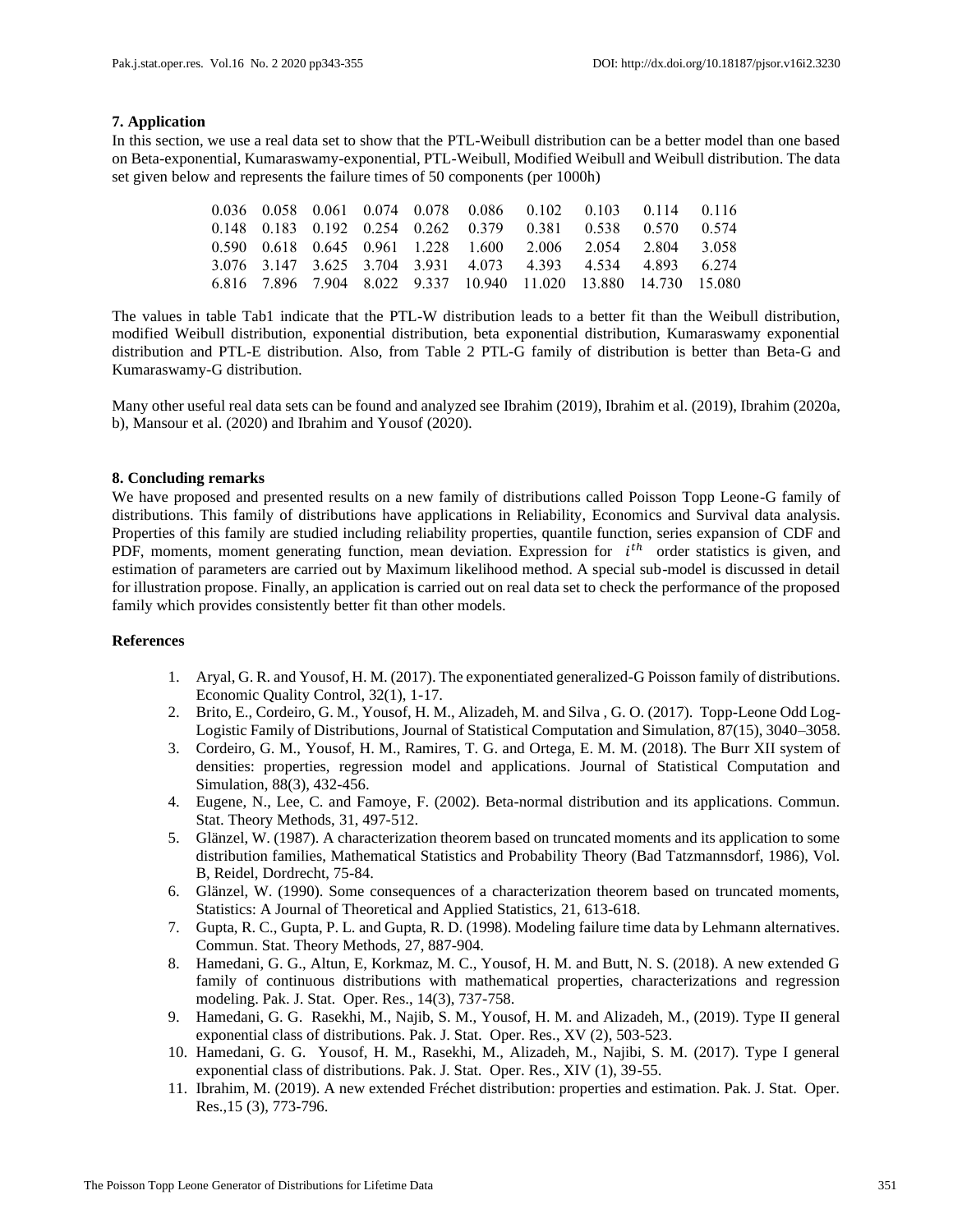# **7. Application**

In this section, we use a real data set to show that the PTL-Weibull distribution can be a better model than one based on Beta-exponential, Kumaraswamy-exponential, PTL-Weibull, Modified Weibull and Weibull distribution. The data set given below and represents the failure times of 50 components (per 1000h)

|  |  |  | 0.036 0.058 0.061 0.074 0.078 0.086 0.102 0.103 0.114 0.116      |  |  |
|--|--|--|------------------------------------------------------------------|--|--|
|  |  |  | 0.148 0.183 0.192 0.254 0.262 0.379 0.381 0.538 0.570 0.574      |  |  |
|  |  |  | 0.590 0.618 0.645 0.961 1.228 1.600 2.006 2.054 2.804 3.058      |  |  |
|  |  |  | 3.076 3.147 3.625 3.704 3.931 4.073 4.393 4.534 4.893 6.274      |  |  |
|  |  |  | 6.816 7.896 7.904 8.022 9.337 10.940 11.020 13.880 14.730 15.080 |  |  |

The values in table Tab1 indicate that the PTL-W distribution leads to a better fit than the Weibull distribution, modified Weibull distribution, exponential distribution, beta exponential distribution, Kumaraswamy exponential distribution and PTL-E distribution. Also, from Table 2 PTL-G family of distribution is better than Beta-G and Kumaraswamy-G distribution.

Many other useful real data sets can be found and analyzed see Ibrahim (2019), Ibrahim et al. (2019), Ibrahim (2020a, b), Mansour et al. (2020) and Ibrahim and Yousof (2020).

# **8. Concluding remarks**

We have proposed and presented results on a new family of distributions called Poisson Topp Leone-G family of distributions. This family of distributions have applications in Reliability, Economics and Survival data analysis. Properties of this family are studied including reliability properties, quantile function, series expansion of CDF and PDF, moments, moment generating function, mean deviation. Expression for  $i<sup>th</sup>$  order statistics is given, and estimation of parameters are carried out by Maximum likelihood method. A special sub-model is discussed in detail for illustration propose. Finally, an application is carried out on real data set to check the performance of the proposed family which provides consistently better fit than other models.

# **References**

- 1. Aryal, G. R. and Yousof, H. M. (2017). The exponentiated generalized-G Poisson family of distributions. Economic Quality Control, 32(1), 1-17.
- 2. Brito, E., Cordeiro, G. M., Yousof, H. M., Alizadeh, M. and Silva , G. O. (2017). Topp-Leone Odd Log-Logistic Family of Distributions, Journal of Statistical Computation and Simulation, 87(15), 3040–3058.
- 3. Cordeiro, G. M., Yousof, H. M., Ramires, T. G. and Ortega, E. M. M. (2018). The Burr XII system of densities: properties, regression model and applications. Journal of Statistical Computation and Simulation, 88(3), 432-456.
- 4. Eugene, N., Lee, C. and Famoye, F. (2002). Beta-normal distribution and its applications. Commun. Stat. Theory Methods, 31, 497-512.
- 5. Glänzel, W. (1987). A characterization theorem based on truncated moments and its application to some distribution families, Mathematical Statistics and Probability Theory (Bad Tatzmannsdorf, 1986), Vol. B, Reidel, Dordrecht, 75-84.
- 6. Glänzel, W. (1990). Some consequences of a characterization theorem based on truncated moments, Statistics: A Journal of Theoretical and Applied Statistics, 21, 613-618.
- 7. Gupta, R. C., Gupta, P. L. and Gupta, R. D. (1998). Modeling failure time data by Lehmann alternatives. Commun. Stat. Theory Methods, 27, 887-904.
- 8. Hamedani, G. G., Altun, E, Korkmaz, M. C., Yousof, H. M. and Butt, N. S. (2018). A new extended G family of continuous distributions with mathematical properties, characterizations and regression modeling. Pak. J. Stat. Oper. Res., 14(3), 737-758.
- 9. Hamedani, G. G. Rasekhi, M., Najib, S. M., Yousof, H. M. and Alizadeh, M., (2019). Type II general exponential class of distributions. Pak. J. Stat. Oper. Res., XV (2), 503-523.
- 10. Hamedani, G. G. Yousof, H. M., Rasekhi, M., Alizadeh, M., Najibi, S. M. (2017). Type I general exponential class of distributions. Pak. J. Stat. Oper. Res., XIV (1), 39-55.
- 11. Ibrahim, M. (2019). A new extended Fréchet distribution: properties and estimation. Pak. J. Stat. Oper. Res.,15 (3), 773-796.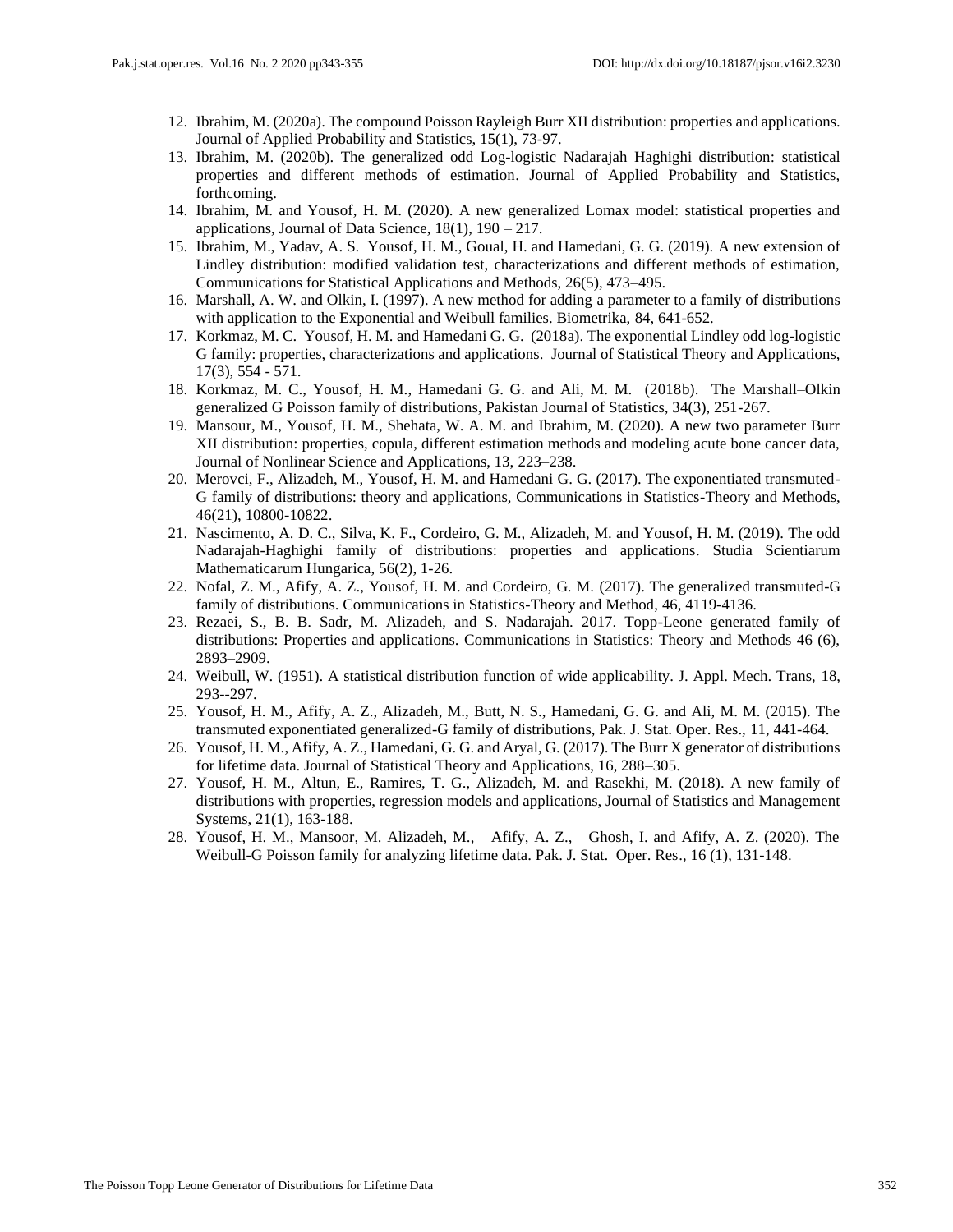- 12. Ibrahim, M. (2020a). The compound Poisson Rayleigh Burr XII distribution: properties and applications. Journal of Applied Probability and Statistics, 15(1), 73-97.
- 13. Ibrahim, M. (2020b). The generalized odd Log-logistic Nadarajah Haghighi distribution: statistical properties and different methods of estimation. Journal of Applied Probability and Statistics, forthcoming.
- 14. Ibrahim, M. and Yousof, H. M. (2020). A new generalized Lomax model: statistical properties and applications, Journal of Data Science, 18(1), 190 – 217.
- 15. Ibrahim, M., Yadav, A. S. Yousof, H. M., Goual, H. and Hamedani, G. G. (2019). A new extension of Lindley distribution: modified validation test, characterizations and different methods of estimation, Communications for Statistical Applications and Methods, 26(5), 473–495.
- 16. Marshall, A. W. and Olkin, I. (1997). A new method for adding a parameter to a family of distributions with application to the Exponential and Weibull families. Biometrika, 84, 641-652.
- 17. Korkmaz, M. C. Yousof, H. M. and Hamedani G. G. (2018a). The exponential Lindley odd log-logistic G family: properties, characterizations and applications. Journal of Statistical Theory and Applications, 17(3), 554 - 571.
- 18. Korkmaz, M. C., Yousof, H. M., Hamedani G. G. and Ali, M. M. (2018b). The Marshall–Olkin generalized G Poisson family of distributions, Pakistan Journal of Statistics, 34(3), 251-267.
- 19. Mansour, M., Yousof, H. M., Shehata, W. A. M. and Ibrahim, M. (2020). A new two parameter Burr XII distribution: properties, copula, different estimation methods and modeling acute bone cancer data, Journal of Nonlinear Science and Applications, 13, 223–238.
- 20. Merovci, F., Alizadeh, M., Yousof, H. M. and Hamedani G. G. (2017). The exponentiated transmuted-G family of distributions: theory and applications, Communications in Statistics-Theory and Methods, 46(21), 10800-10822.
- 21. Nascimento, A. D. C., Silva, K. F., Cordeiro, G. M., Alizadeh, M. and Yousof, H. M. (2019). The odd Nadarajah-Haghighi family of distributions: properties and applications. Studia Scientiarum Mathematicarum Hungarica, 56(2), 1-26.
- 22. Nofal, Z. M., Afify, A. Z., Yousof, H. M. and Cordeiro, G. M. (2017). The generalized transmuted-G family of distributions. Communications in Statistics-Theory and Method, 46, 4119-4136.
- 23. Rezaei, S., B. B. Sadr, M. Alizadeh, and S. Nadarajah. 2017. Topp-Leone generated family of distributions: Properties and applications. Communications in Statistics: Theory and Methods 46 (6), 2893–2909.
- 24. Weibull, W. (1951). A statistical distribution function of wide applicability. J. Appl. Mech. Trans, 18, 293--297.
- 25. Yousof, H. M., Afify, A. Z., Alizadeh, M., Butt, N. S., Hamedani, G. G. and Ali, M. M. (2015). The transmuted exponentiated generalized-G family of distributions, Pak. J. Stat. Oper. Res., 11, 441-464.
- 26. Yousof, H. M., Afify, A. Z., Hamedani, G. G. and Aryal, G. (2017). The Burr X generator of distributions for lifetime data. Journal of Statistical Theory and Applications, 16, 288–305.
- 27. Yousof, H. M., Altun, E., Ramires, T. G., Alizadeh, M. and Rasekhi, M. (2018). A new family of distributions with properties, regression models and applications, Journal of Statistics and Management Systems, 21(1), 163-188.
- 28. Yousof, H. M., Mansoor, M. Alizadeh, M., Afify, A. Z., Ghosh, I. and Afify, A. Z. (2020). The Weibull-G Poisson family for analyzing lifetime data. Pak. J. Stat. Oper. Res., 16 (1), 131-148.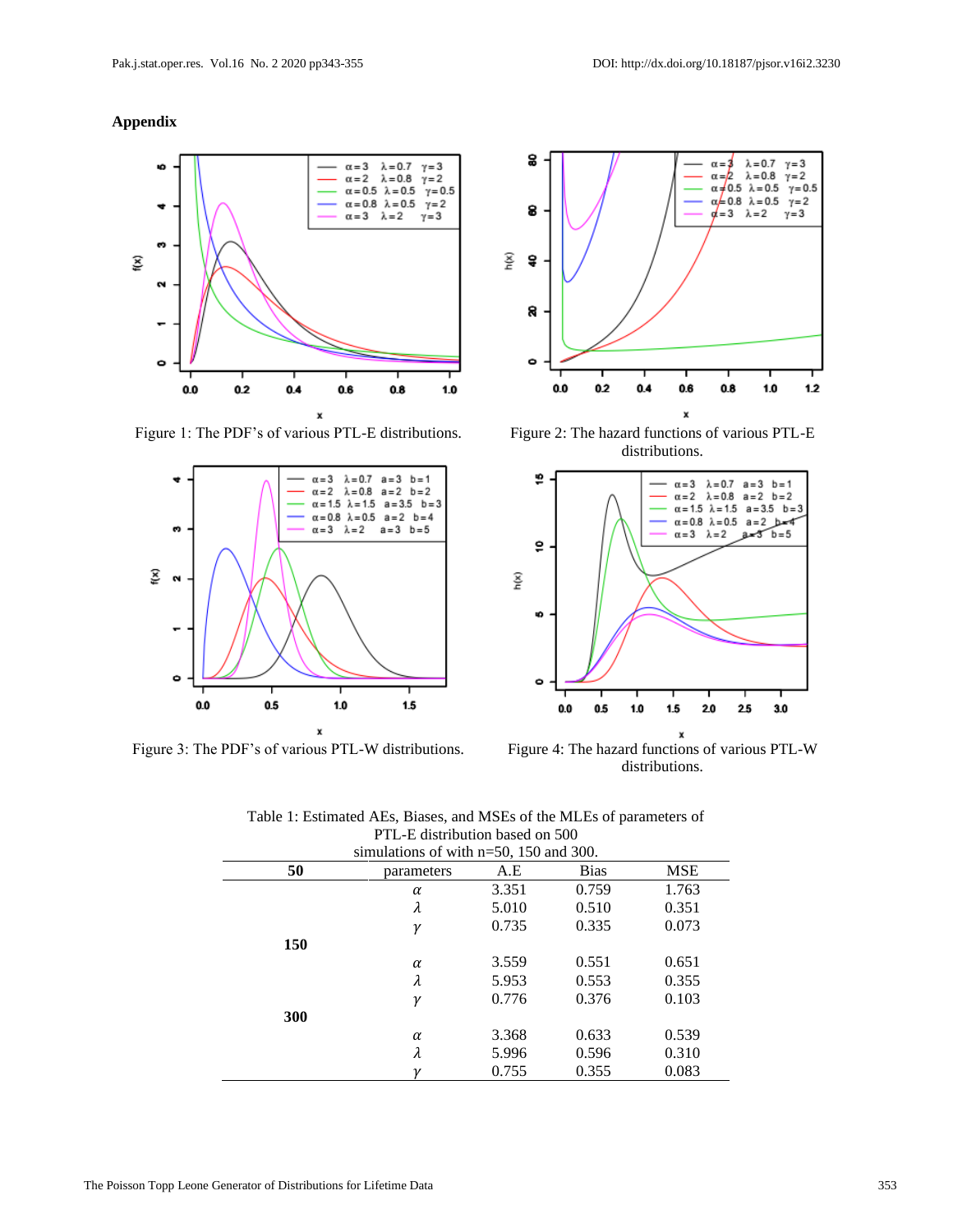# **Appendix**







Figure 1: The PDF's of various PTL-E distributions. Figure 2: The hazard functions of various PTL-E distributions.



Figure 3: The PDF's of various PTL-W distributions. Figure 4: The hazard functions of various PTL-W distributions.

| simulations of with $n=50$ , 150 and 300. |            |       |             |       |  |  |  |
|-------------------------------------------|------------|-------|-------------|-------|--|--|--|
| 50                                        | parameters | A.E   | <b>Bias</b> | MSE   |  |  |  |
|                                           | α          | 3.351 | 0.759       | 1.763 |  |  |  |
|                                           | λ          | 5.010 | 0.510       | 0.351 |  |  |  |
|                                           | γ          | 0.735 | 0.335       | 0.073 |  |  |  |
| 150                                       |            |       |             |       |  |  |  |
|                                           | α          | 3.559 | 0.551       | 0.651 |  |  |  |
|                                           | λ          | 5.953 | 0.553       | 0.355 |  |  |  |
|                                           | γ          | 0.776 | 0.376       | 0.103 |  |  |  |
| 300                                       |            |       |             |       |  |  |  |
|                                           | $\alpha$   | 3.368 | 0.633       | 0.539 |  |  |  |
|                                           | λ          | 5.996 | 0.596       | 0.310 |  |  |  |
|                                           |            | 0.755 | 0.355       | 0.083 |  |  |  |

| Table 1: Estimated AEs, Biases, and MSEs of the MLEs of parameters of |  |  |  |  |  |  |
|-----------------------------------------------------------------------|--|--|--|--|--|--|
| PTL-E distribution based on 500                                       |  |  |  |  |  |  |
| $\frac{\text{simultation}}{\text{of with }n-50,150,00}$               |  |  |  |  |  |  |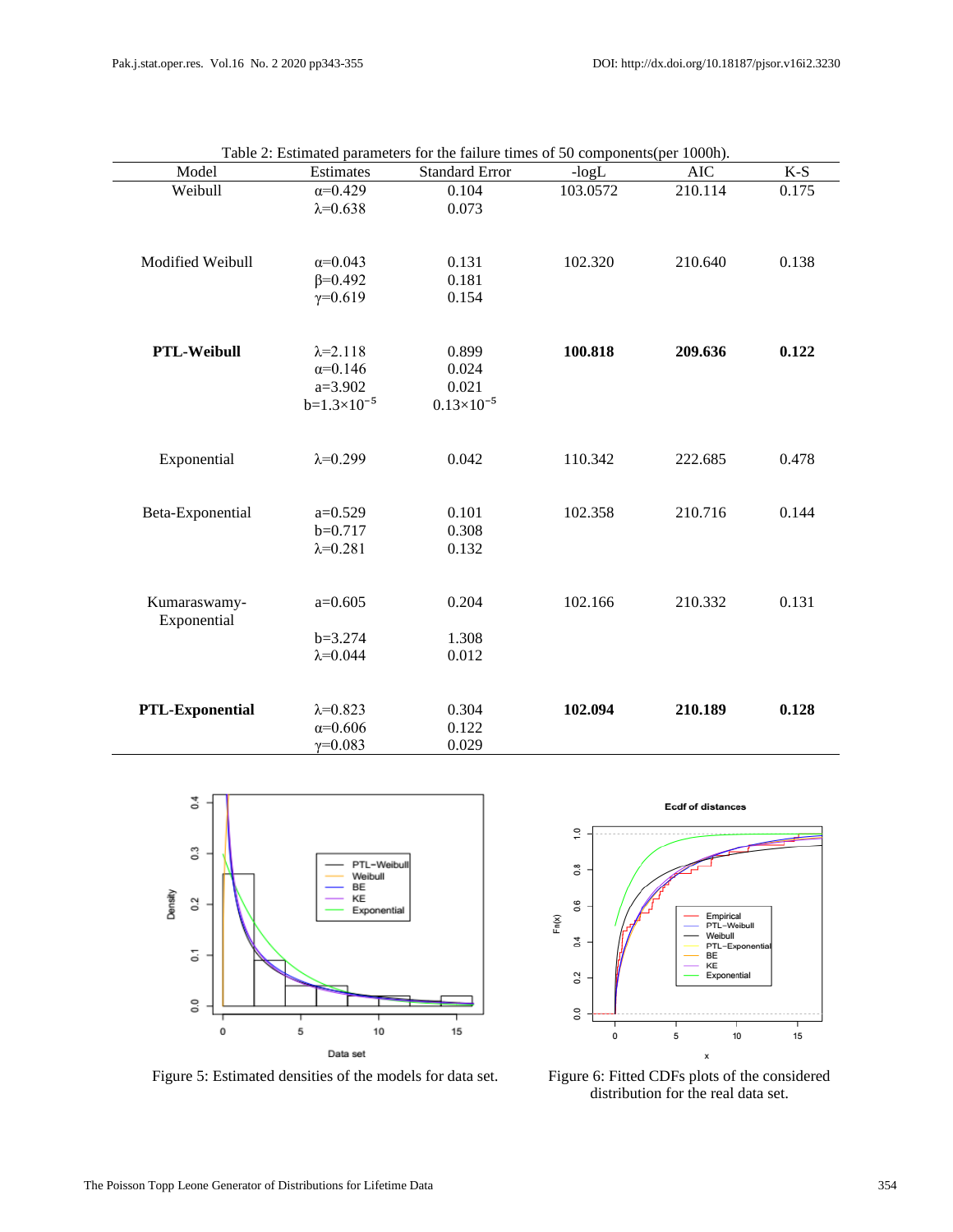| Model                  | Estimates            | <b>Standard Error</b> | $-logL$  | <b>AIC</b> | $K-S$ |
|------------------------|----------------------|-----------------------|----------|------------|-------|
| Weibull                | $\alpha = 0.429$     | 0.104                 | 103.0572 | 210.114    | 0.175 |
|                        | $\lambda = 0.638$    | 0.073                 |          |            |       |
|                        |                      |                       |          |            |       |
|                        |                      |                       |          |            |       |
| Modified Weibull       | $\alpha = 0.043$     | 0.131                 | 102.320  | 210.640    | 0.138 |
|                        | $\beta = 0.492$      | 0.181                 |          |            |       |
|                        | $\gamma = 0.619$     | 0.154                 |          |            |       |
|                        |                      |                       |          |            |       |
| PTL-Weibull            | $\lambda = 2.118$    | 0.899                 | 100.818  | 209.636    | 0.122 |
|                        | $\alpha = 0.146$     | 0.024                 |          |            |       |
|                        | $a=3.902$            | 0.021                 |          |            |       |
|                        | $b=1.3\times10^{-5}$ | $0.13\times10^{-5}$   |          |            |       |
|                        |                      |                       |          |            |       |
| Exponential            | $\lambda = 0.299$    | 0.042                 | 110.342  | 222.685    | 0.478 |
|                        |                      |                       |          |            |       |
|                        |                      |                       |          |            |       |
| Beta-Exponential       | $a=0.529$            | 0.101                 | 102.358  | 210.716    | 0.144 |
|                        | $b=0.717$            | 0.308                 |          |            |       |
|                        | $\lambda = 0.281$    | 0.132                 |          |            |       |
|                        |                      |                       |          |            |       |
| Kumaraswamy-           | $a=0.605$            | 0.204                 | 102.166  | 210.332    | 0.131 |
| Exponential            |                      |                       |          |            |       |
|                        | $b=3.274$            | 1.308                 |          |            |       |
|                        | $\lambda = 0.044$    | 0.012                 |          |            |       |
|                        |                      |                       |          |            |       |
|                        |                      |                       |          |            |       |
| <b>PTL-Exponential</b> | $\lambda = 0.823$    | 0.304                 | 102.094  | 210.189    | 0.128 |
|                        | $\alpha = 0.606$     | 0.122                 |          |            |       |
|                        | $\gamma = 0.083$     | 0.029                 |          |            |       |

Table 2: Estimated parameters for the failure times of 50 components(per 1000h).



 $\frac{1}{2}$  $0.\overline{8}$  $0.6$ Empirical<br>PTL-Weibull<br>Weibull<br>PTL-Exponer  $Fin(X)$  $\sigma$ **BE** EE<br>KE<br>Exponential  $0.2$  $\overline{0}$ .0 5  $\pmb{0}$  $10\,$  $15$ x

**Ecdf of distances** 

Figure 5: Estimated densities of the models for data set. Figure 6: Fitted CDFs plots of the considered

distribution for the real data set.